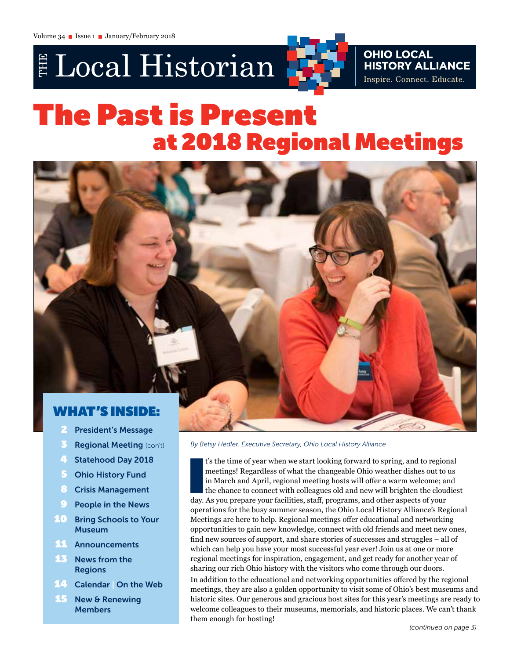# E Local Historian



# The Past is Present at 2018 Regional Meetings



- **President's Message**
- **3** Regional Meeting (con't)
- 4 Statehood Day 2018
- **5** Ohio History Fund
- 8 Crisis Management
- **9** People in the News
- **10 Bring Schools to Your** Museum
- 11 Announcements
- **13** News from the Regions
- **14 Calendar On the Web**
- 15 New & Renewing **Members**

*By Betsy Hedler, Executive Secretary, Ohio Local History Alliance*

t's the time of year when we start looking forward to spring, and to region meetings! Regardless of what the changeable Ohio weather dishes out to in March and April, regional meeting hosts will offer a warm welcome; as th t's the time of year when we start looking forward to spring, and to regional meetings! Regardless of what the changeable Ohio weather dishes out to us in March and April, regional meeting hosts will offer a warm welcome; and the chance to connect with colleagues old and new will brighten the cloudiest operations for the busy summer season, the Ohio Local History Alliance's Regional Meetings are here to help. Regional meetings offer educational and networking opportunities to gain new knowledge, connect with old friends and meet new ones, find new sources of support, and share stories of successes and struggles – all of which can help you have your most successful year ever! Join us at one or more regional meetings for inspiration, engagement, and get ready for another year of sharing our rich Ohio history with the visitors who come through our doors.

In addition to the educational and networking opportunities offered by the regional meetings, they are also a golden opportunity to visit some of Ohio's best museums and historic sites. Our generous and gracious host sites for this year's meetings are ready to welcome colleagues to their museums, memorials, and historic places. We can't thank them enough for hosting!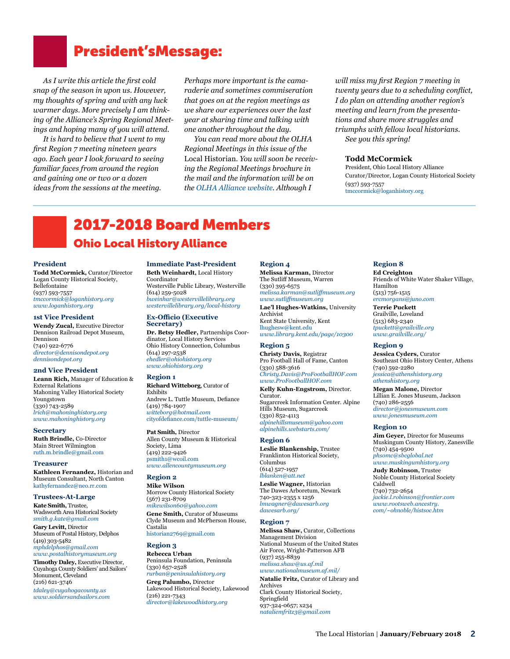# President'sMessage:

*As I write this article the first cold snap of the season in upon us. However, my thoughts of spring and with any luck warmer days. More precisely I am thinking of the Alliance's Spring Regional Meetings and hoping many of you will attend.* 

*It is hard to believe that I went to my first Region 7 meeting nineteen years ago. Each year I look forward to seeing familiar faces from around the region and gaining one or two or a dozen ideas from the sessions at the meeting.* 

*Perhaps more important is the camaraderie and sometimes commiseration that goes on at the region meetings as we share our experiences over the last year at sharing time and talking with one another throughout the day.* 

*You can read more about the OLHA Regional Meetings in this issue of the*  Local Historian. *You will soon be receiving the Regional Meetings brochure in the mail and the information will be on the OLHA Alliance website. Although I* 

*will miss my first Region 7 meeting in twenty years due to a scheduling conflict, I do plan on attending another region's meeting and learn from the presentations and share more struggles and triumphs with fellow local historians. See you this spring!*

## **Todd McCormick**

President, Ohio Local History Alliance Curator/Director, Logan County Historical Society (937) 593-7557 [tmccormick@loganhistory.org](mailto:tmccormick@loganhistory.org)

# 2017-2018 Board Members Ohio Local History Alliance

#### **President**

**Todd McCormick,** Curator/Director Logan County Historical Society, Bellefontaine (937) 593-7557 *[tmccormick@loganhistory.org](mailto:tmccormick%40loganhistory.org?subject=) [www.loganhistory.org](https://www.loganhistory.org/)*

#### **1st Vice President**

**Wendy Zucal,** Executive Director Dennison Railroad Depot Museum, Dennison (740) 922-6776 *[director@dennisondepot.org](mailto:director%40dennisondepot.org?subject=) [dennisondepot.org](http://dennisondepot.org)*

#### **2nd Vice President**

**Leann Rich,** Manager of Education & External Relations Mahoning Valley Historical Society Youngstown (330) 743-2589 *[lrich@mahoninghistory.org](mailto:lrich%40mahoninghistory.org?subject=) [www.mahoninghistory.org](http://www.mahoninghistory.org)*

### **Secretary Ruth Brindle,** Co-Director

Main Street Wilmington [ruth.m.brindle@gmail.com](mailto:ruth.m.brindle@gmail.com)

#### **Treasurer**

**Kathleen Fernandez,** Historian and Museum Consultant, North Canton [kathyfernandez@neo.rr.com](mailto:kathyfernandez%40neo.rr.com?subject=)

#### **Trustees-At-Large**

**Kate Smith,** Trustee, Wadsworth Area Historical Society *[smith.g.kate@gmail.com](mailto:smith.g.kate%40gmail.com?subject=)* **Gary Levitt,** Director Museum of Postal History, Delphos (419) 303-5482 *[mphdelphos@gmail.com](mailto:mphdelphos%40gmail.com?subject=) [www.postalhistorymuseum.org](mailto:www.postalhistorymuseum.org?subject=)*

**Timothy Daley,** Executive Director, Cuyahoga County Soldiers' and Sailors' Monument, Cleveland (216) 621-3746

*[tdaley@cuyahogacounty.us](mailto:tdaley@cuyahogacounty.us) [www.soldiersandsailors.com](http://www.soldiersandsailors.com)*

#### **Immediate Past-President Beth Weinhardt,** Local History

Coordinator Westerville Public Library, Westerville (614) 259-5028 *[bweinhar@westervillelibrary.org](mailto:bweinhar%40westervillelibrary.org?subject=) [westervillelibrary.org/local-history](http://westervillelibrary.org/local-history)*

#### **Ex-Officio (Executive Secretary)**

**Dr. Betsy Hedler,** Partnerships Coordinator, Local History Services Ohio History Connection, Columbus (614) 297-2538 *[ehedler@ohiohistory.org](mailto:ehedler%40ohiohistory.org?subject=) [www.ohiohistory.org](http://www.ohiohistory.org)*

### **Region 1**

**Richard Witteborg**, Curator of Exhibits Andrew L. Tuttle Museum, Defiance (419) 784-1907 *[witteborg@hotmail.com](mailto:witteborg%40hotmail.com?subject=)* [cityofdefiance.com/tuttle-museum/](http://cityofdefiance.com/tuttle-museum/)

**Pat Smith,** Director Allen County Museum & Historical Society, Lima (419) 222-9426 [psmith1@wcoil.com](mailto:psmith1%40wcoil.com?subject=) *[www.allencountymuseum.org](http://www.allencountymuseum.org)* 

### **Region 2**

**Mike Wilson** Morrow County Historical Society (567) 231-8709 *[mikewilson60@yahoo.com](mailto:mikewilson60%40yahoo.com?subject=)* **Gene Smith,** Curator of Museums Clyde Museum and McPherson House, Castalia

[historian2769@gmail.com](mailto:historian2769%40gmail.com%0D?subject=)

## **Region 3**

**Rebecca Urban** Peninsula Foundation, Peninsula (330) 657-2528 *[rurban@peninsulahistory.org](mailto:rurban%40peninsulahistory.org?subject=)* **Greg Palumbo,** Director Lakewood Historical Society, Lakewood (216) 221-7343 *[director@lakewoodhistory.org](mailto:director%40lakewoodhistory.org%0D?subject=)*

#### **Region 4 Melissa Karman,** Director

The Sutliff Museum, Warren (330) 395-6575 *[melissa.karman@sutliffmuseum.org](mailto:melissa.karman%40sutliffmuseum.org?subject=)  [www.sutliffmuseum.org](http://www.sutliffmuseum.org)* **Lae'l Hughes-Watkins,** University Archivist Kent State University, Kent [lhughesw@kent.edu](mailto:lhughesw%40kent.edu?subject=) *[www.library.kent.edu/page/10300](http://www.library.kent.edu/page/10300)*

#### **Region 5**

**Christy Davis,** Registrar Pro Football Hall of Fame, Canton (330) 588-3616 *[Christy.Davis@ProFootballHOF.com](mailto:Christy.Davis%40ProFootballHOF.com?subject=)  [www.ProFootballHOF.com](http://www.ProFootballHOF.com)*

**Kelly Kuhn-Engstrom,** Director. Curator. Sugarcreek Information Center. Alpine Hills Museum, Sugarcreek (330) 852-4113 *[alpinehillsmuseum@yahoo.com](mailto:alpinehillsmuseum%40yahoo.com?subject=) [alpinehills.webstarts.com/](http://alpinehills.webstarts.com)*

#### **Region 6**

**Leslie Blankenship,** Trustee Franklinton Historical Society, Columbus (614) 527-1957 *[lblanken@att.net](mailto:lblanken%40att.net?subject=)* 

**Leslie Wagner,** Historian The Dawes Arboretum, Newark 740-323-2355 x 1256 *[lmwagner@dawesarb.org](mailto:lmwagner%40dawesarb.org%0A?subject=) [dawesarb.org/](http://dawesarb.org)*

#### **Region 7**

**Melissa Shaw,** Curator, Collections Management Division National Museum of the United States Air Force, Wright-Patterson AFB (937) 255-8839 *[melissa.shaw@us.af.mil](mailto:melissa.shaw@us.af.mil) [www.nationalmuseum.af.mil/](http://www.nationalmuseum.af.mil/)*

**Natalie Fritz,** Curator of Library and Archives Clark County Historical Society, Springfield 937-324-0657; x234 *[nataliemfritz3@gmail.com](mailto:nataliemfritz3@gmail.com)*

## **Region 8**

**Ed Creighton** Friends of White Water Shaker Village, Hamilton (513) 756-1515 *[ercmorgans@juno.com](mailto:ercmorgans%40juno.com?subject=)* **Terrie Puckett** Grailville, Loveland (513) 683-2340 *[tpuckett@grailville.org](mailto:tpuckett%40grailville.org?subject=) [www.grailville.org/](http://www.grailville.org)*

### **Region 9**

**Jessica Cyders,** Curator Southeast Ohio History Center, Athens (740) 592-2280 *[jessica@athenshistory.org](mailto:jessica%40athenshistory.org?subject=) [athenshistory.org](http://athenshistory.org)*

**Megan Malone,** Director Lillian E. Jones Museum, Jackson (740) 286-2556 *[director@jonesmuseum.com](mailto:director%40jonesmuseum.com?subject=) [www.jonesmuseum.com](http://www.jonesmuseum.com)*

#### **Region 10**

**Jim Geyer,** Director for Museums Muskingum County History, Zanesville (740) 454-9500 *[phsomc@sbcglobal.net](mailto:phsomc%40sbcglobal.net?subject=) [www.muskingumhistory.org](http://www.muskingumhistory.org)*

**Judy Robinson,** Trustee Noble County Historical Society Caldwell (740) 732-2654 *[jackie.l.robinson@frontier.com](mailto:jackie.l.robinson%40frontier.com?subject=) [www.rootsweb.ancestry.](http://www.rootsweb.ancestry.com/~ohnoble/histsoc.htm) [com/~ohnoble/histsoc.htm](http://www.rootsweb.ancestry.com/~ohnoble/histsoc.htm)*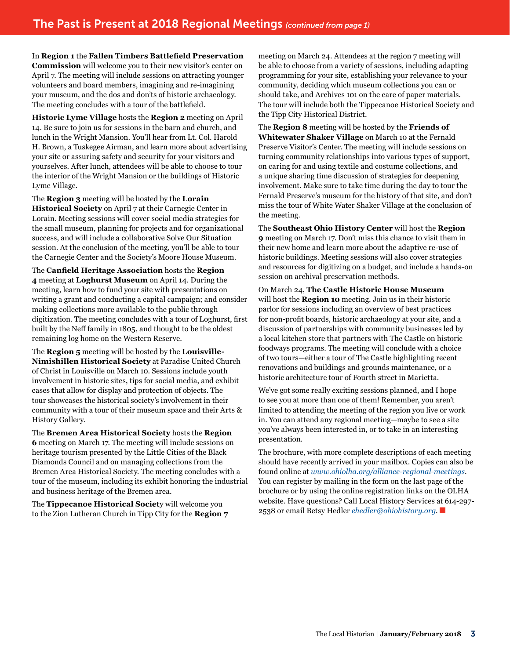In **Region 1** the **Fallen Timbers Battlefield Preservation Commission** will welcome you to their new visitor's center on April 7. The meeting will include sessions on attracting younger volunteers and board members, imagining and re-imagining your museum, and the dos and don'ts of historic archaeology. The meeting concludes with a tour of the battlefield.

**Historic Lyme Village** hosts the **Region 2** meeting on April 14. Be sure to join us for sessions in the barn and church, and lunch in the Wright Mansion. You'll hear from Lt. Col. Harold H. Brown, a Tuskegee Airman, and learn more about advertising your site or assuring safety and security for your visitors and yourselves. After lunch, attendees will be able to choose to tour the interior of the Wright Mansion or the buildings of Historic Lyme Village.

The **Region 3** meeting will be hosted by the **Lorain Historical Society** on April 7 at their Carnegie Center in Lorain. Meeting sessions will cover social media strategies for the small museum, planning for projects and for organizational success, and will include a collaborative Solve Our Situation session. At the conclusion of the meeting, you'll be able to tour the Carnegie Center and the Society's Moore House Museum.

The **Canfield Heritage Association** hosts the **Region 4** meeting at **Loghurst Museum** on April 14. During the meeting, learn how to fund your site with presentations on writing a grant and conducting a capital campaign; and consider making collections more available to the public through digitization. The meeting concludes with a tour of Loghurst, first built by the Neff family in 1805, and thought to be the oldest remaining log home on the Western Reserve.

The **Region 5** meeting will be hosted by the **Louisville-Nimishillen Historical Society** at Paradise United Church of Christ in Louisville on March 10. Sessions include youth involvement in historic sites, tips for social media, and exhibit cases that allow for display and protection of objects. The tour showcases the historical society's involvement in their community with a tour of their museum space and their Arts & History Gallery.

The **Bremen Area Historical Society** hosts the **Region 6** meeting on March 17. The meeting will include sessions on heritage tourism presented by the Little Cities of the Black Diamonds Council and on managing collections from the Bremen Area Historical Society. The meeting concludes with a tour of the museum, including its exhibit honoring the industrial and business heritage of the Bremen area.

The **Tippecanoe Historical Societ**y will welcome you to the Zion Lutheran Church in Tipp City for the **Region 7** meeting on March 24. Attendees at the region 7 meeting will be able to choose from a variety of sessions, including adapting programming for your site, establishing your relevance to your community, deciding which museum collections you can or should take, and Archives 101 on the care of paper materials. The tour will include both the Tippecanoe Historical Society and the Tipp City Historical District.

The **Region 8** meeting will be hosted by the **Friends of Whitewater Shaker Village** on March 10 at the Fernald Preserve Visitor's Center. The meeting will include sessions on turning community relationships into various types of support, on caring for and using textile and costume collections, and a unique sharing time discussion of strategies for deepening involvement. Make sure to take time during the day to tour the Fernald Preserve's museum for the history of that site, and don't miss the tour of White Water Shaker Village at the conclusion of the meeting.

The **Southeast Ohio History Center** will host the **Region 9** meeting on March 17. Don't miss this chance to visit them in their new home and learn more about the adaptive re-use of historic buildings. Meeting sessions will also cover strategies and resources for digitizing on a budget, and include a hands-on session on archival preservation methods.

On March 24, **The Castle Historic House Museum** will host the **Region 10** meeting. Join us in their historic parlor for sessions including an overview of best practices for non-profit boards, historic archaeology at your site, and a discussion of partnerships with community businesses led by a local kitchen store that partners with The Castle on historic foodways programs. The meeting will conclude with a choice of two tours—either a tour of The Castle highlighting recent renovations and buildings and grounds maintenance, or a historic architecture tour of Fourth street in Marietta.

We've got some really exciting sessions planned, and I hope to see you at more than one of them! Remember, you aren't limited to attending the meeting of the region you live or work in. You can attend any regional meeting—maybe to see a site you've always been interested in, or to take in an interesting presentation.

The brochure, with more complete descriptions of each meeting should have recently arrived in your mailbox. Copies can also be found online at *www.ohiolha.org/alliance-regional-meetings*. You can register by mailing in the form on the last page of the brochure or by using the online registration links on the OLHA website. Have questions? Call Local History Services at 614-297- 2538 or email Betsy Hedler *[ehedler@ohiohistory.org](mailto:ehedler%40ohiohistory.org?subject=)*.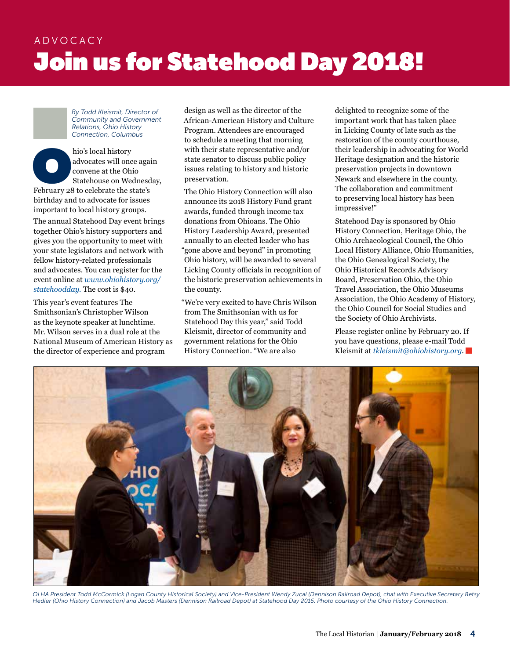# ADVOCACY **Join us for Statehood Day 2018!**

*By Todd Kleismit, Director of Community and Government Relations, Ohio History Connection, Columbus*

hio's local history<br>
advocates will once agai<br>
convene at the Ohio<br>
Statehouse on Wednesd<br>
February 28 to celebrate the state's advocates will once again convene at the Ohio Statehouse on Wednesday, birthday and to advocate for issues important to local history groups. The annual Statehood Day event brings together Ohio's history supporters and gives you the opportunity to meet with your state legislators and network with fellow history-related professionals and advocates. You can register for the event online at *[www.ohiohistory.org/](http://www.ohiohistory.org/statehoodday) [statehoodday.](http://www.ohiohistory.org/statehoodday)* The cost is \$40.

This year's event features The Smithsonian's Christopher Wilson as the keynote speaker at lunchtime. Mr. Wilson serves in a dual role at the National Museum of American History as the director of experience and program

design as well as the director of the African-American History and Culture Program. Attendees are encouraged to schedule a meeting that morning with their state representative and/or state senator to discuss public policy issues relating to history and historic preservation.

The Ohio History Connection will also announce its 2018 History Fund grant awards, funded through income tax donations from Ohioans. The Ohio History Leadership Award, presented annually to an elected leader who has "gone above and beyond" in promoting Ohio history, will be awarded to several Licking County officials in recognition of the historic preservation achievements in the county.

"We're very excited to have Chris Wilson from The Smithsonian with us for Statehood Day this year," said Todd Kleismit, director of community and government relations for the Ohio History Connection. "We are also

delighted to recognize some of the important work that has taken place in Licking County of late such as the restoration of the county courthouse, their leadership in advocating for World Heritage designation and the historic preservation projects in downtown Newark and elsewhere in the county. The collaboration and commitment to preserving local history has been impressive!"

Statehood Day is sponsored by Ohio History Connection, Heritage Ohio, the Ohio Archaeological Council, the Ohio Local History Alliance, Ohio Humanities, the Ohio Genealogical Society, the Ohio Historical Records Advisory Board, Preservation Ohio, the Ohio Travel Association, the Ohio Museums Association, the Ohio Academy of History, the Ohio Council for Social Studies and the Society of Ohio Archivists.

Please register online by February 20. If you have questions, please e-mail Todd Kleismit at *[tkleismit@ohiohistory.org](mailto:tkleismit@ohiohistory.org)*.



*OLHA President Todd McCormick (Logan County Historical Society) and Vice-President Wendy Zucal (Dennison Railroad Depot), chat with Executive Secretary Betsy Hedler (Ohio History Connection) and Jacob Masters (Dennison Railroad Depot) at Statehood Day 2016. Photo courtesy of the Ohio History Connection.*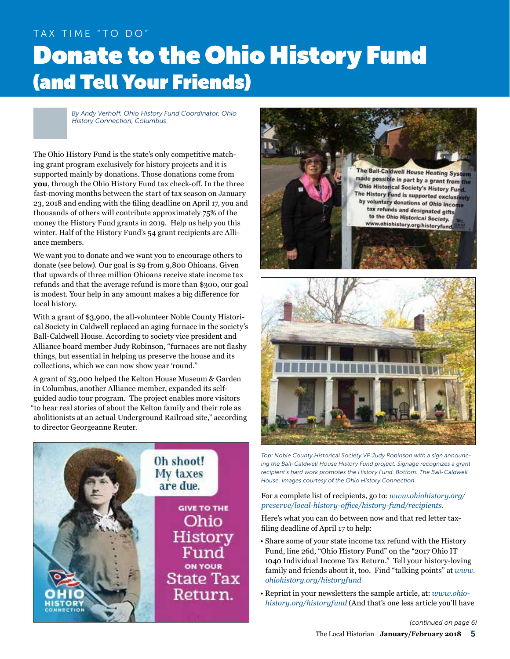# TAX TIME "TO DO" Donate to the Ohio History Fund (and Tell Your Friends)

*By Andy Verhoff, Ohio History Fund Coordinator, Ohio History Connection, Columbus* 

The Ohio History Fund is the state's only competitive matching grant program exclusively for history projects and it is supported mainly by donations. Those donations come from **you**, through the Ohio History Fund tax check-off. In the three fast-moving months between the start of tax season on January 23, 2018 and ending with the filing deadline on April 17, you and thousands of others will contribute approximately 75% of the money the History Fund grants in 2019. Help us help you this winter. Half of the History Fund's 54 grant recipients are Alliance members.

We want you to donate and we want you to encourage others to donate (see below). Our goal is \$9 from 9,800 Ohioans. Given that upwards of three million Ohioans receive state income tax refunds and that the average refund is more than \$300, our goal is modest. Your help in any amount makes a big difference for local history.

With a grant of \$3,900, the all-volunteer Noble County Historical Society in Caldwell replaced an aging furnace in the society's Ball-Caldwell House. According to society vice president and Alliance board member Judy Robinson, "furnaces are not flashy things, but essential in helping us preserve the house and its collections, which we can now show year 'round."

A grant of \$3,000 helped the Kelton House Museum & Garden in Columbus, another Alliance member, expanded its selfguided audio tour program. The project enables more visitors "to hear real stories of about the Kelton family and their role as abolitionists at an actual Underground Railroad site," according to director Georgeanne Reuter.







*Top: Noble County Historical Society VP Judy Robinson with a sign announcing the Ball-Caldwell House History Fund project. Signage recognizes a grant recipient's hard work promotes the History Fund. Bottom: The Ball-Caldwell House. Images courtesy of the Ohio History Connection.* 

## For a complete list of recipients, go to: *[www.ohiohistory.org/](https://www.ohiohistory.org/preserve/local-history-office/history-fund/recipients.) [preserve/local-history-office/history-fund/recipients.](https://www.ohiohistory.org/preserve/local-history-office/history-fund/recipients.)*

Here's what you can do between now and that red letter taxfiling deadline of April 17 to help:

- Share some of your state income tax refund with the History Fund, line 26d, "Ohio History Fund" on the "2017 Ohio IT 1040 Individual Income Tax Return." Tell your history-loving family and friends about it, too. Find "talking points" at *[www.](http://www.ohiohistory.org/historyfund) [ohiohistory.org/historyfund](http://www.ohiohistory.org/historyfund)*
- Reprint in your newsletters the sample article, at: *[www.ohio](http://www.ohiohistory.org/historyfund)[history.org/historyfund](http://www.ohiohistory.org/historyfund)* (And that's one less article you'll have

*(continued on page 6)*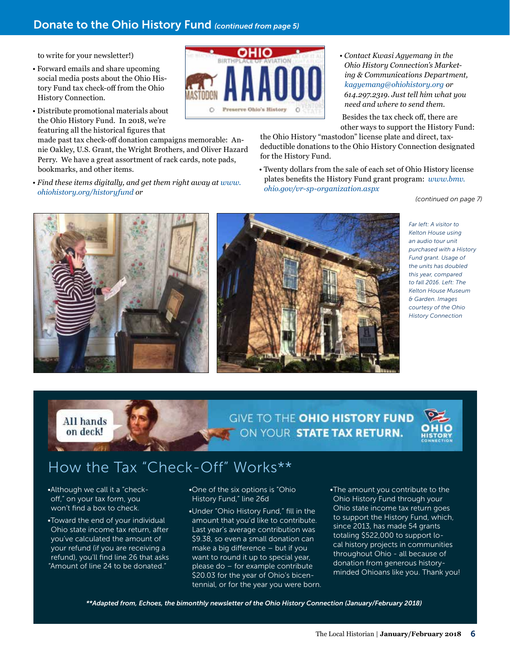## Donate to the Ohio History Fund *(continued from page 5)*

to write for your newsletter!)

- Forward emails and share upcoming social media posts about the Ohio History Fund tax check-off from the Ohio History Connection.
- Distribute promotional materials about the Ohio History Fund. In 2018, we're featuring all the historical figures that

made past tax check-off donation campaigns memorable: Annie Oakley, U.S. Grant, the Wright Brothers, and Oliver Hazard Perry. We have a great assortment of rack cards, note pads, bookmarks, and other items.

*• Find these items digitally, and get them right away at [www.](http://www.ohiohistory.org/historyfund) [ohiohistory.org/historyfund](http://www.ohiohistory.org/historyfund) or*



*• Contact Kwasi Agyemang in the Ohio History Connection's Marketing & Communications Department, [kagyemang@ohiohistory.org](mailto:kagyemang@ohiohistory.org) or 614.297.2319. Just tell him what you need and where to send them.*

 Besides the tax check off, there are other ways to support the History Fund:

the Ohio History "mastodon" license plate and direct, taxdeductible donations to the Ohio History Connection designated for the History Fund.

• Twenty dollars from the sale of each set of Ohio History license plates benefits the History Fund grant program: *[www.bmv.](http://www.bmv.ohio.gov/vr-sp-organization.aspx) [ohio.gov/vr-sp-organization.aspx](http://www.bmv.ohio.gov/vr-sp-organization.aspx)*

*(continued on page 7)*





*Far left: A visitor to Kelton House using an audio tour unit purchased with a History Fund grant. Usage of the units has doubled this year, compared to fall 2016. Left: The Kelton House Museum & Garden. Images courtesy of the Ohio History Connection*

**GIVE TO THE OHIO HISTORY FUND** ON YOUR STATE TAX RETURN.



# How the Tax "Check-Off" Works\*\*

•Although we call it a "checkoff," on your tax form, you won't find a box to check.

All hands on deck!

•Toward the end of your individual Ohio state income tax return, after you've calculated the amount of your refund (if you are receiving a refund), you'll find line 26 that asks "Amount of line 24 to be donated."

•One of the six options is "Ohio History Fund," line 26d

•Under "Ohio History Fund," fill in the amount that you'd like to contribute. Last year's average contribution was \$9.38, so even a small donation can make a big difference – but if you want to round it up to special year, please do – for example contribute \$20.03 for the year of Ohio's bicentennial, or for the year you were born. •The amount you contribute to the Ohio History Fund through your Ohio state income tax return goes to support the History Fund, which, since 2013, has made 54 grants totaling \$522,000 to support local history projects in communities throughout Ohio - all because of donation from generous historyminded Ohioans like you. Thank you!

*\*\*Adapted from, Echoes, the bimonthly newsletter of the Ohio History Connection (January/February 2018)*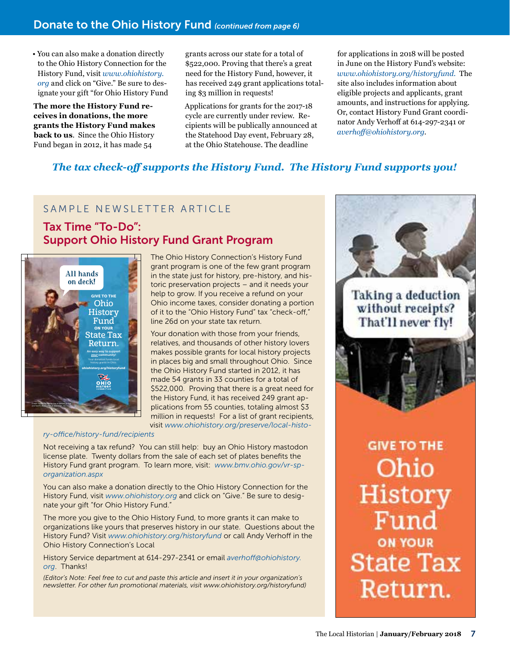## Donate to the Ohio History Fund *(continued from page 6)*

• You can also make a donation directly to the Ohio History Connection for the History Fund, visit *[www.ohiohistory.](http://www.ohiohistory.org) [org](http://www.ohiohistory.org)* and click on "Give." Be sure to designate your gift "for Ohio History Fund

**The more the History Fund receives in donations, the more grants the History Fund makes back to us**. Since the Ohio History Fund began in 2012, it has made 54

grants across our state for a total of \$522,000. Proving that there's a great need for the History Fund, however, it has received 249 grant applications totaling \$3 million in requests!

Applications for grants for the 2017-18 cycle are currently under review. Recipients will be publically announced at the Statehood Day event, February 28, at the Ohio Statehouse. The deadline

for applications in 2018 will be posted in June on the History Fund's website: *[www.ohiohistory.org/historyfund.](http://www.ohiohistory.org/historyfund.)* The site also includes information about eligible projects and applicants, grant amounts, and instructions for applying. Or, contact History Fund Grant coordinator Andy Verhoff at 614-297-2341 or *[averhoff@ohiohistory.org](mailto:averhoff@ohiohistory.org)*.

## *The tax check-off supports the History Fund. The History Fund supports you!*

## SAMPLE NEWSLETTER ARTICLE

# Tax Time "To-Do": Support Ohio History Fund Grant Program



The Ohio History Connection's History Fund grant program is one of the few grant program in the state just for history, pre-history, and historic preservation projects – and it needs your help to grow. If you receive a refund on your Ohio income taxes, consider donating a portion of it to the "Ohio History Fund" tax "check-off," line 26d on your state tax return.

Your donation with those from your friends, relatives, and thousands of other history lovers makes possible grants for local history projects in places big and small throughout Ohio. Since the Ohio History Fund started in 2012, it has made 54 grants in 33 counties for a total of \$522,000. Proving that there is a great need for the History Fund, it has received 249 grant applications from 55 counties, totaling almost \$3 million in requests! For a list of grant recipients, visit *[www.ohiohistory.org/preserve/local-histo-](https://www.ohiohistory.org/preserve/local-history-office/history-fund/recipients)*

## *[ry-office/history-fund/recipients](https://www.ohiohistory.org/preserve/local-history-office/history-fund/recipients)*

Not receiving a tax refund? You can still help: buy an Ohio History mastodon license plate. Twenty dollars from the sale of each set of plates benefits the History Fund grant program. To learn more, visit: *[www.bmv.ohio.gov/vr-sp](http://www.bmv.ohio.gov/vr-sp-organization.aspx)[organization.aspx](http://www.bmv.ohio.gov/vr-sp-organization.aspx)*

You can also make a donation directly to the Ohio History Connection for the History Fund, visit *[www.ohiohistory.org](http://www.ohiohistory.org)* and click on "Give." Be sure to designate your gift "for Ohio History Fund."

The more you give to the Ohio History Fund, to more grants it can make to organizations like yours that preserves history in our state. Questions about the History Fund? Visit *[www.ohiohistory.org/historyfund](http://www.ohiohistory.org/historyfund)* or call Andy Verhoff in the Ohio History Connection's Local

History Service department at 614-297-2341 or email *[averhoff@ohiohistory.](mailto:averhoff@ohiohistory.org) [org](mailto:averhoff@ohiohistory.org)*. Thanks!

*(Editor's Note: Feel free to cut and paste this article and insert it in your organization's newsletter. For other fun promotional materials, visit [www.ohiohistory.org/historyfund\)](http://www.ohiohistory.org/historyfund)*



**GIVE TO THE** Ohio History Fund **ON YOUR State Tax** Return.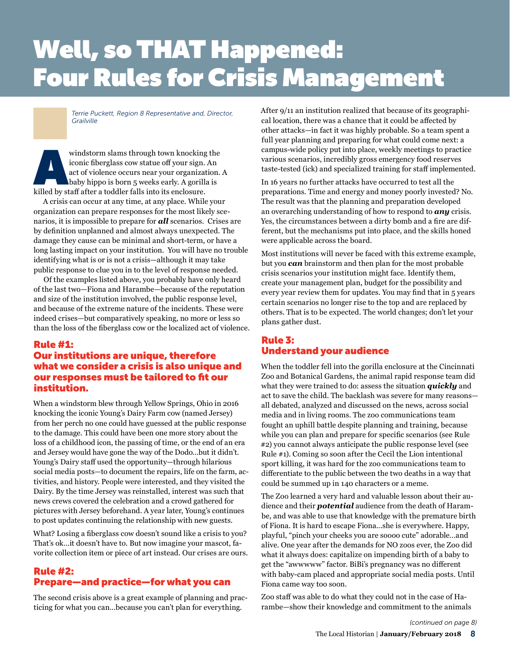# Well, so THAT Happened: **Four Rules for Crisis Management**

*Terrie Puckett, Region 8 Representative and, Director, Grailville*

windstorm slams through town knocking the iconic fiberglass cow statue off your sign. An act of violence occurs near your organization.<br>baby hippo is born 5 weeks early. A gorilla is killed by staff after a toddler falls i iconic fiberglass cow statue off your sign. An act of violence occurs near your organization. A baby hippo is born 5 weeks early. A gorilla is

A crisis can occur at any time, at any place. While your organization can prepare responses for the most likely scenarios, it is impossible to prepare for *all* scenarios. Crises are by definition unplanned and almost always unexpected. The damage they cause can be minimal and short-term, or have a long lasting impact on your institution. You will have no trouble identifying what is or is not a crisis—although it may take public response to clue you in to the level of response needed.

Of the examples listed above, you probably have only heard of the last two—Fiona and Harambe—because of the reputation and size of the institution involved, the public response level, and because of the extreme nature of the incidents. These were indeed crises—but comparatively speaking, no more or less so than the loss of the fiberglass cow or the localized act of violence.

## Rule #1: Our institutions are unique, therefore what we consider a crisis is also unique and our responses must be tailored to fit our institution.

When a windstorm blew through Yellow Springs, Ohio in 2016 knocking the iconic Young's Dairy Farm cow (named Jersey) from her perch no one could have guessed at the public response to the damage. This could have been one more story about the loss of a childhood icon, the passing of time, or the end of an era and Jersey would have gone the way of the Dodo…but it didn't. Young's Dairy staff used the opportunity—through hilarious social media posts—to document the repairs, life on the farm, activities, and history. People were interested, and they visited the Dairy. By the time Jersey was reinstalled, interest was such that news crews covered the celebration and a crowd gathered for pictures with Jersey beforehand. A year later, Young's continues to post updates continuing the relationship with new guests.

What? Losing a fiberglass cow doesn't sound like a crisis to you? That's ok…it doesn't have to. But now imagine your mascot, favorite collection item or piece of art instead. Our crises are ours.

## Rule #2: Prepare—and practice—for what you can

The second crisis above is a great example of planning and practicing for what you can…because you can't plan for everything.

After 9/11 an institution realized that because of its geographical location, there was a chance that it could be affected by other attacks—in fact it was highly probable. So a team spent a full year planning and preparing for what could come next: a campus-wide policy put into place, weekly meetings to practice various scenarios, incredibly gross emergency food reserves taste-tested (ick) and specialized training for staff implemented.

In 16 years no further attacks have occurred to test all the preparations. Time and energy and money poorly invested? No. The result was that the planning and preparation developed an overarching understanding of how to respond to *any* crisis. Yes, the circumstances between a dirty bomb and a fire are different, but the mechanisms put into place, and the skills honed were applicable across the board.

Most institutions will never be faced with this extreme example, but you *can* brainstorm and then plan for the most probable crisis scenarios your institution might face. Identify them, create your management plan, budget for the possibility and every year review them for updates. You may find that in 5 years certain scenarios no longer rise to the top and are replaced by others. That is to be expected. The world changes; don't let your plans gather dust.

## Rule 3: Understand your audience

When the toddler fell into the gorilla enclosure at the Cincinnati Zoo and Botanical Gardens, the animal rapid response team did what they were trained to do: assess the situation *quickly* and act to save the child. The backlash was severe for many reasons all debated, analyzed and discussed on the news, across social media and in living rooms. The zoo communications team fought an uphill battle despite planning and training, because while you can plan and prepare for specific scenarios (see Rule #2) you cannot always anticipate the public response level (see Rule #1). Coming so soon after the Cecil the Lion intentional sport killing, it was hard for the zoo communications team to differentiate to the public between the two deaths in a way that could be summed up in 140 characters or a meme.

The Zoo learned a very hard and valuable lesson about their audience and their *potential* audience from the death of Harambe, and was able to use that knowledge with the premature birth of Fiona. It is hard to escape Fiona…she is everywhere. Happy, playful, "pinch your cheeks you are soooo cute" adorable…and alive. One year after the demands for NO zoos ever, the Zoo did what it always does: capitalize on impending birth of a baby to get the "awwwww" factor. BiBi's pregnancy was no different with baby-cam placed and appropriate social media posts. Until Fiona came way too soon.

Zoo staff was able to do what they could not in the case of Harambe—show their knowledge and commitment to the animals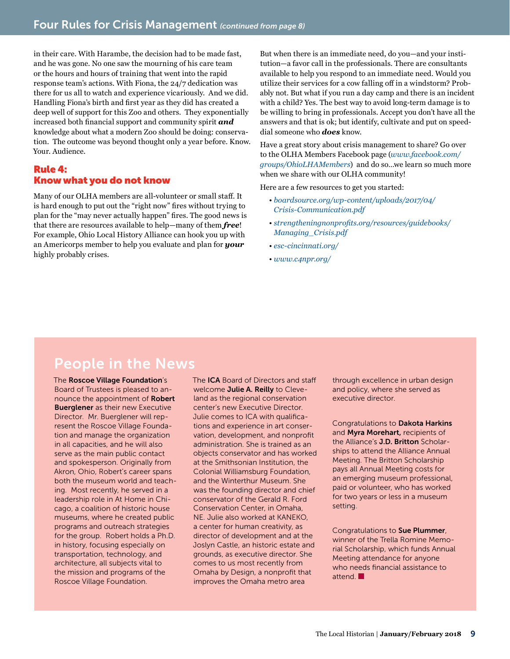in their care. With Harambe, the decision had to be made fast, and he was gone. No one saw the mourning of his care team or the hours and hours of training that went into the rapid response team's actions. With Fiona, the 24/7 dedication was there for us all to watch and experience vicariously. And we did. Handling Fiona's birth and first year as they did has created a deep well of support for this Zoo and others. They exponentially increased both financial support and community spirit *and* knowledge about what a modern Zoo should be doing: conservation. The outcome was beyond thought only a year before. Know. Your. Audience.

## Rule 4: Know what you do not know

Many of our OLHA members are all-volunteer or small staff. It is hard enough to put out the "right now" fires without trying to plan for the "may never actually happen" fires. The good news is that there are resources available to help—many of them *free*! For example, Ohio Local History Alliance can hook you up with an Americorps member to help you evaluate and plan for *your* highly probably crises.

But when there is an immediate need, do you—and your institution—a favor call in the professionals. There are consultants available to help you respond to an immediate need. Would you utilize their services for a cow falling off in a windstorm? Probably not. But what if you run a day camp and there is an incident with a child? Yes. The best way to avoid long-term damage is to be willing to bring in professionals. Accept you don't have all the answers and that is ok; but identify, cultivate and put on speeddial someone who *does* know.

Have a great story about crisis management to share? Go over to the OLHA Members Facebook page (*www.facebook.com/ groups/OhioLHAMembers*) and do so…we learn so much more when we share with our OLHA community!

Here are a few resources to get you started:

- *boardsource.org/wp-content/uploads/2017/04/ Crisis-Communication.pdf*
- *strengtheningnonprofits.org/resources/guidebooks/ Managing\_Crisis.pdf*
- *esc-cincinnati.org/*
- *www.c4npr.org/*

# People in the News

The Roscoe Village Foundation's Board of Trustees is pleased to announce the appointment of Robert **Buerglener** as their new Executive Director. Mr. Buerglener will represent the Roscoe Village Foundation and manage the organization in all capacities, and he will also serve as the main public contact and spokesperson. Originally from Akron, Ohio, Robert's career spans both the museum world and teaching. Most recently, he served in a leadership role in At Home in Chicago, a coalition of historic house museums, where he created public programs and outreach strategies for the group. Robert holds a Ph.D. in history, focusing especially on transportation, technology, and architecture, all subjects vital to the mission and programs of the Roscoe Village Foundation.

The **ICA** Board of Directors and staff welcome Julie A. Reilly to Cleveland as the regional conservation center's new Executive Director. Julie comes to ICA with qualifications and experience in art conservation, development, and nonprofit administration. She is trained as an objects conservator and has worked at the Smithsonian Institution, the Colonial Williamsburg Foundation, and the Winterthur Museum. She was the founding director and chief conservator of the Gerald R. Ford Conservation Center, in Omaha, NE. Julie also worked at KANEKO, a center for human creativity, as director of development and at the Joslyn Castle, an historic estate and grounds, as executive director. She comes to us most recently from Omaha by Design, a nonprofit that improves the Omaha metro area

through excellence in urban design and policy, where she served as executive director.

Congratulations to Dakota Harkins and Myra Morehart, recipients of the Alliance's **J.D. Britton** Scholarships to attend the Alliance Annual Meeting. The Britton Scholarship pays all Annual Meeting costs for an emerging museum professional, paid or volunteer, who has worked for two years or less in a museum setting.

Congratulations to Sue Plummer, winner of the Trella Romine Memorial Scholarship, which funds Annual Meeting attendance for anyone who needs financial assistance to attend **I**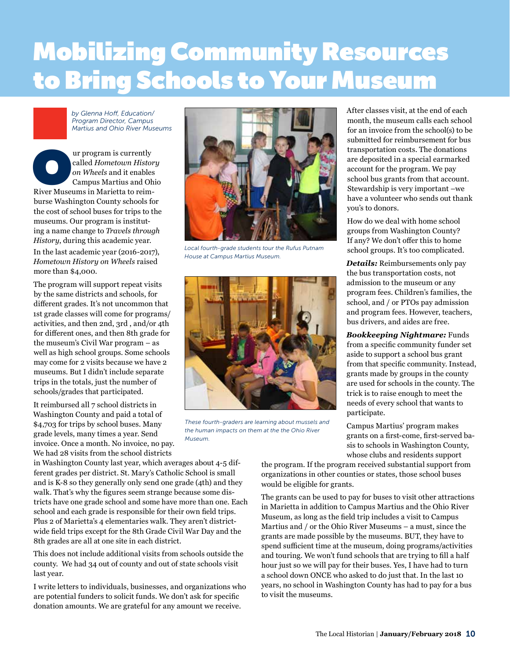# Mobilizing Community Resources to Bring Schools to Your Museum

*by Glenna Hoff, Education/ Program Director, Campus Martius and Ohio River Museums*

UP of the UP called Hometown Histor<br>
on Wheels and it enables<br>
Campus Martius and Oh<br>
River Museums in Marietta to reimcalled *Hometown History on Wheels* and it enables Campus Martius and Ohio burse Washington County schools for the cost of school buses for trips to the museums. Our program is instituting a name change to *Travels through History*, during this academic year. In the last academic year (2016-2017), *Hometown History on Wheels* raised more than \$4,000.

The program will support repeat visits by the same districts and schools, for different grades. It's not uncommon that 1st grade classes will come for programs/ activities, and then 2nd, 3rd , and/or 4th for different ones, and then 8th grade for the museum's Civil War program – as well as high school groups. Some schools may come for 2 visits because we have 2 museums. But I didn't include separate trips in the totals, just the number of schools/grades that participated.

It reimbursed all 7 school districts in Washington County and paid a total of \$4,703 for trips by school buses. Many grade levels, many times a year. Send invoice. Once a month. No invoice, no pay. We had 28 visits from the school districts

in Washington County last year, which averages about 4-5 different grades per district. St. Mary's Catholic School is small and is K-8 so they generally only send one grade (4th) and they walk. That's why the figures seem strange because some districts have one grade school and some have more than one. Each school and each grade is responsible for their own field trips. Plus 2 of Marietta's 4 elementaries walk. They aren't districtwide field trips except for the 8th Grade Civil War Day and the 8th grades are all at one site in each district.

This does not include additional visits from schools outside the county. We had 34 out of county and out of state schools visit last year.

I write letters to individuals, businesses, and organizations who are potential funders to solicit funds. We don't ask for specific donation amounts. We are grateful for any amount we receive.



*Local fourth-grade students tour the Rufus Putnam House at Campus Martius Museum.* 



*These fourth-graders are learning about mussels and the human impacts on them at the the Ohio River Museum.*

After classes visit, at the end of each month, the museum calls each school for an invoice from the school(s) to be submitted for reimbursement for bus transportation costs. The donations are deposited in a special earmarked account for the program. We pay school bus grants from that account. Stewardship is very important –we have a volunteer who sends out thank you's to donors.

How do we deal with home school groups from Washington County? If any? We don't offer this to home school groups. It's too complicated.

*Details:* Reimbursements only pay the bus transportation costs, not admission to the museum or any program fees. Children's families, the school, and / or PTOs pay admission and program fees. However, teachers, bus drivers, and aides are free.

*Bookkeeping Nightmare:* Funds from a specific community funder set aside to support a school bus grant from that specific community. Instead, grants made by groups in the county are used for schools in the county. The trick is to raise enough to meet the needs of every school that wants to participate.

Campus Martius' program makes grants on a first-come, first-served basis to schools in Washington County, whose clubs and residents support

the program. If the program received substantial support from organizations in other counties or states, those school buses would be eligible for grants.

The grants can be used to pay for buses to visit other attractions in Marietta in addition to Campus Martius and the Ohio River Museum, as long as the field trip includes a visit to Campus Martius and / or the Ohio River Museums – a must, since the grants are made possible by the museums. BUT, they have to spend sufficient time at the museum, doing programs/activities and touring. We won't fund schools that are trying to fill a half hour just so we will pay for their buses. Yes, I have had to turn a school down ONCE who asked to do just that. In the last 10 years, no school in Washington County has had to pay for a bus to visit the museums.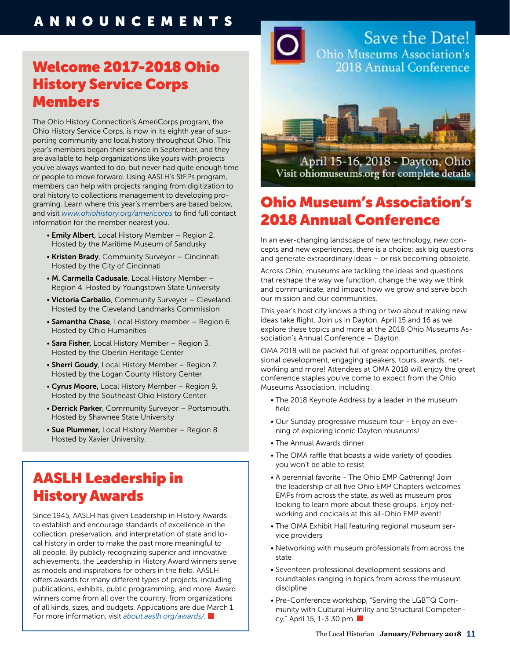# Welcome 2017-2018 Ohio History Service Corps Members

The Ohio History Connection's AmeriCorps program, the Ohio History Service Corps, is now in its eighth year of supporting community and local history throughout Ohio. This year's members began their service in September, and they are available to help organizations like yours with projects you've always wanted to do, but never had quite enough time or people to move forward. Using AASLH's StEPs program, members can help with projects ranging from digitization to oral history to collections management to developing programing. Learn where this year's members are based below, and visit *[www.ohiohistory.org/americorps](http://www.ohiohistory.org/americorps)* to find full contact information for the member nearest you.

- **Emily Albert**, Local History Member Region 2. Hosted by the Maritime Museum of Sandusky
- Kristen Brady, Community Surveyor Cincinnati. Hosted by the City of Cincinnati
- M. Carmella Cadusale, Local History Member Region 4. Hosted by Youngstown State University
- Victoria Carballo, Community Surveyor Cleveland. Hosted by the Cleveland Landmarks Commission
- Samantha Chase, Local History member Region 6. Hosted by Ohio Humanities
- Sara Fisher, Local History Member Region 3. Hosted by the Oberlin Heritage Center
- Sherri Goudy, Local History Member Region 7. Hosted by the Logan County History Center
- Cyrus Moore, Local History Member Region 9. Hosted by the Southeast Ohio History Center.
- Derrick Parker, Community Surveyor Portsmouth. Hosted by Shawnee State University
- Sue Plummer, Local History Member Region 8. Hosted by Xavier University.

# AASLH Leadership in History Awards

Since 1945, AASLH has given Leadership in History Awards to establish and encourage standards of excellence in the collection, preservation, and interpretation of state and local history in order to make the past more meaningful to all people. By publicly recognizing superior and innovative achievements, the Leadership in History Award winners serve as models and inspirations for others in the field. AASLH offers awards for many different types of projects, including publications, exhibits, public programming, and more. Award winners come from all over the country, from organizations of all kinds, sizes, and budgets. Applications are due March 1. For more information, visit *[about.aaslh.org/awards/.](http://about.aaslh.org/awards/.)*

Save the Date! **Ohio Museums Association's** 2018 Annual Conference



April 15-16, 2018 - Dayton, Ohio Visit ohiomuseums.org for complete details

# Ohio Museum's Association's 2018 Annual Conference

In an ever-changing landscape of new technology, new concepts and new experiences, there is a choice: ask big questions and generate extraordinary ideas – or risk becoming obsolete.

Across Ohio, museums are tackling the ideas and questions that reshape the way we function, change the way we think and communicate, and impact how we grow and serve both our mission and our communities.

This year's host city knows a thing or two about making new ideas take flight. Join us in Dayton, April 15 and 16 as we explore these topics and more at the 2018 Ohio Museums Association's Annual Conference – Dayton.

OMA 2018 will be packed full of great opportunities, professional development, engaging speakers, tours, awards, networking and more! Attendees at OMA 2018 will enjoy the great conference staples you've come to expect from the Ohio Museums Association, including:

- The 2018 Keynote Address by a leader in the museum field
- Our Sunday progressive museum tour Enjoy an evening of exploring iconic Dayton museums!
- The Annual Awards dinner
- The OMA raffle that boasts a wide variety of goodies you won't be able to resist
- A perennial favorite The Ohio EMP Gathering! Join the leadership of all five Ohio EMP Chapters welcomes EMPs from across the state, as well as museum pros looking to learn more about these groups. Enjoy networking and cocktails at this all-Ohio EMP event!
- The OMA Exhibit Hall featuring regional museum service providers
- Networking with museum professionals from across the state
- Seventeen professional development sessions and roundtables ranging in topics from across the museum discipline
- Pre-Conference workshop, "Serving the LGBTQ Community with Cultural Humility and Structural Competency," April 15, 1-3:30 pm.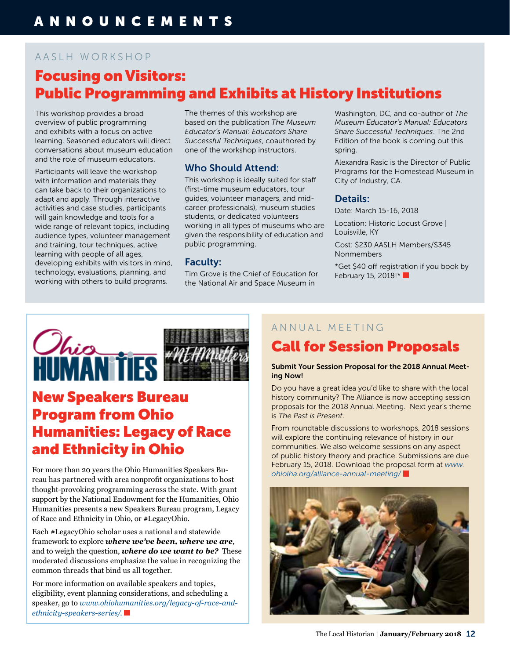# AASLH WORKSHOP Focusing on Visitors: Public Programming and Exhibits at History Institutions

This workshop provides a broad overview of public programming and exhibits with a focus on active learning. Seasoned educators will direct conversations about museum education and the role of museum educators.

Participants will leave the workshop with information and materials they can take back to their organizations to adapt and apply. Through interactive activities and case studies, participants will gain knowledge and tools for a wide range of relevant topics, including audience types, volunteer management and training, tour techniques, active learning with people of all ages, developing exhibits with visitors in mind, technology, evaluations, planning, and working with others to build programs.

The themes of this workshop are based on the publication *The Museum Educator's Manual: Educators Share Successful Techniques*, coauthored by one of the workshop instructors.

## Who Should Attend:

This workshop is ideally suited for staff (first-time museum educators, tour guides, volunteer managers, and midcareer professionals), museum studies students, or dedicated volunteers working in all types of museums who are given the responsibility of education and public programming.

## Faculty:

Tim Grove is the Chief of Education for the National Air and Space Museum in

Washington, DC, and co-author of *The Museum Educator's Manual: Educators Share Successful Techniques*. The 2nd Edition of the book is coming out this spring.

Alexandra Rasic is the Director of Public Programs for the Homestead Museum in City of Industry, CA.

## Details:

Date: March 15-16, 2018

Location: Historic Locust Grove | Louisville, KY

Cost: \$230 AASLH Members/\$345 Nonmembers

\*Get \$40 off registration if you book by February 15, 2018!\*



# New Speakers Bureau Program from Ohio Humanities: Legacy of Race and Ethnicity in Ohio

For more than 20 years the Ohio Humanities Speakers Bureau has partnered with area nonprofit organizations to host thought-provoking programming across the state. With grant support by the National Endowment for the Humanities, Ohio Humanities presents a new Speakers Bureau program, Legacy of Race and Ethnicity in Ohio, or #LegacyOhio.

Each #LegacyOhio scholar uses a national and statewide framework to explore *where we've been, where we are*, and to weigh the question, *where do we want to be?* These moderated discussions emphasize the value in recognizing the common threads that bind us all together.

For more information on available speakers and topics, eligibility, event planning considerations, and scheduling a speaker, go to *[www.ohiohumanities.org/legacy-of-race-and](http://www.ohiohumanities.org/legacy-of-race-and-ethnicity-speakers-series/.)[ethnicity-speakers-series/.](http://www.ohiohumanities.org/legacy-of-race-and-ethnicity-speakers-series/.)*

## ANNUAL MEETING

# Call for Session Proposals

## Submit Your Session Proposal for the 2018 Annual Meeting Now!

Do you have a great idea you'd like to share with the local history community? The Alliance is now accepting session proposals for the 2018 Annual Meeting. Next year's theme is *The Past is Present*.

From roundtable discussions to workshops, 2018 sessions will explore the continuing relevance of history in our communities. We also welcome sessions on any aspect of public history theory and practice. Submissions are due February 15, 2018. Download the proposal form at *[www.](http://www.ohiolha.org/alliance-annual-meeting/) [ohiolha.org/alliance-annual-meeting/](http://www.ohiolha.org/alliance-annual-meeting/)*

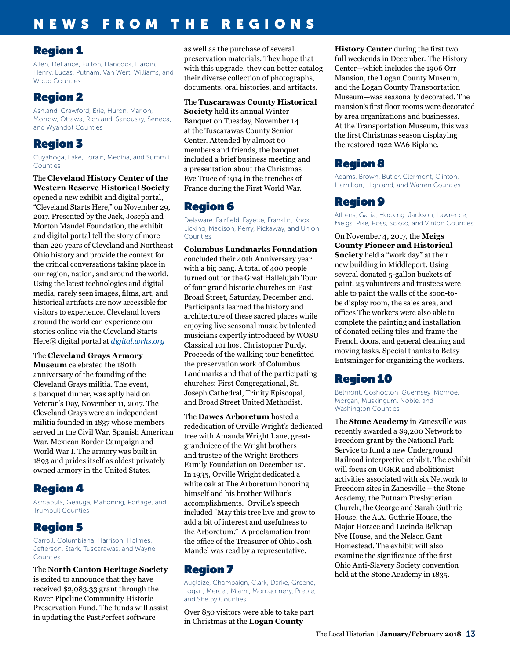# NEWS FROM THE REGIONS

## Region 1

Allen, Defiance, Fulton, Hancock, Hardin, Henry, Lucas, Putnam, Van Wert, Williams, and Wood Counties

# Region 2

Ashland, Crawford, Erie, Huron, Marion, Morrow, Ottawa, Richland, Sandusky, Seneca, and Wyandot Counties

# Region 3

Cuyahoga, Lake, Lorain, Medina, and Summit Counties

The **Cleveland History Center of the Western Reserve Historical Society** opened a new exhibit and digital portal, "Cleveland Starts Here," on November 29, 2017. Presented by the Jack, Joseph and Morton Mandel Foundation, the exhibit and digital portal tell the story of more than 220 years of Cleveland and Northeast Ohio history and provide the context for the critical conversations taking place in our region, nation, and around the world. Using the latest technologies and digital media, rarely seen images, films, art, and historical artifacts are now accessible for visitors to experience. Cleveland lovers around the world can experience our stories online via the Cleveland Starts Here® digital portal at *[digital.wrhs.org](http://digital.wrhs.org)*

The **Cleveland Grays Armory Museum** celebrated the 180th anniversary of the founding of the Cleveland Grays militia. The event, a banquet dinner, was aptly held on Veteran's Day, November 11, 2017. The Cleveland Grays were an independent militia founded in 1837 whose members served in the Civil War, Spanish American War, Mexican Border Campaign and World War I. The armory was built in 1893 and prides itself as oldest privately owned armory in the United States.

# Region 4

Ashtabula, Geauga, Mahoning, Portage, and Trumbull Counties

# Region 5

Carroll, Columbiana, Harrison, Holmes, Jefferson, Stark, Tuscarawas, and Wayne Counties

## The **North Canton Heritage Society**

is exited to announce that they have received \$2,083.33 grant through the Rover Pipeline Community Historic Preservation Fund. The funds will assist in updating the PastPerfect software

as well as the purchase of several preservation materials. They hope that with this upgrade, they can better catalog their diverse collection of photographs, documents, oral histories, and artifacts.

The **Tuscarawas County Historical Society** held its annual Winter Banquet on Tuesday, November 14 at the Tuscarawas County Senior Center. Attended by almost 60 members and friends, the banquet included a brief business meeting and a presentation about the Christmas Eve Truce of 1914 in the trenches of France during the First World War.

# Region 6

Delaware, Fairfield, Fayette, Franklin, Knox, Licking, Madison, Perry, Pickaway, and Union Counties

## **Columbus Landmarks Foundation**

concluded their 40th Anniversary year with a big bang. A total of 400 people turned out for the Great Hallelujah Tour of four grand historic churches on East Broad Street, Saturday, December 2nd. Participants learned the history and architecture of these sacred places while enjoying live seasonal music by talented musicians expertly introduced by WOSU Classical 101 host Christopher Purdy. Proceeds of the walking tour benefitted the preservation work of Columbus Landmarks and that of the participating churches: First Congregational, St. Joseph Cathedral, Trinity Episcopal, and Broad Street United Methodist.

The **Dawes Arboretum** hosted a rededication of Orville Wright's dedicated tree with Amanda Wright Lane, greatgrandniece of the Wright brothers and trustee of the Wright Brothers Family Foundation on December 1st. In 1935, Orville Wright dedicated a white oak at The Arboretum honoring himself and his brother Wilbur's accomplishments. Orville's speech included "May this tree live and grow to add a bit of interest and usefulness to the Arboretum." A proclamation from the office of the Treasurer of Ohio Josh Mandel was read by a representative.

# Region 7

Auglaize, Champaign, Clark, Darke, Greene, Logan, Mercer, Miami, Montgomery, Preble, and Shelby Counties

Over 850 visitors were able to take part in Christmas at the **Logan County** 

**History Center** during the first two full weekends in December. The History Center—which includes the 1906 Orr Mansion, the Logan County Museum, and the Logan County Transportation Museum—was seasonally decorated. The mansion's first floor rooms were decorated by area organizations and businesses. At the Transportation Museum, this was the first Christmas season displaying the restored 1922 WA6 Biplane.

# Region 8

Adams, Brown, Butler, Clermont, Clinton, Hamilton, Highland, and Warren Counties

# Region 9

Athens, Gallia, Hocking, Jackson, Lawrence, Meigs, Pike, Ross, Scioto, and Vinton Counties

On November 4, 2017, the **Meigs County Pioneer and Historical Society** held a "work day" at their new building in Middleport. Using several donated 5-gallon buckets of paint, 25 volunteers and trustees were able to paint the walls of the soon-tobe display room, the sales area, and offices The workers were also able to complete the painting and installation of donated ceiling tiles and frame the French doors, and general cleaning and moving tasks. Special thanks to Betsy Entsminger for organizing the workers.

# Region 10

Belmont, Coshocton, Guernsey, Monroe, Morgan, Muskingum, Noble, and Washington Counties

The **Stone Academy** in Zanesville was recently awarded a \$9,200 Network to Freedom grant by the National Park Service to fund a new Underground Railroad interpretive exhibit. The exhibit will focus on UGRR and abolitionist activities associated with six Network to Freedom sites in Zanesville – the Stone Academy, the Putnam Presbyterian Church, the George and Sarah Guthrie House, the A.A. Guthrie House, the Major Horace and Lucinda Belknap Nye House, and the Nelson Gant Homestead. The exhibit will also examine the significance of the first Ohio Anti-Slavery Society convention held at the Stone Academy in 1835.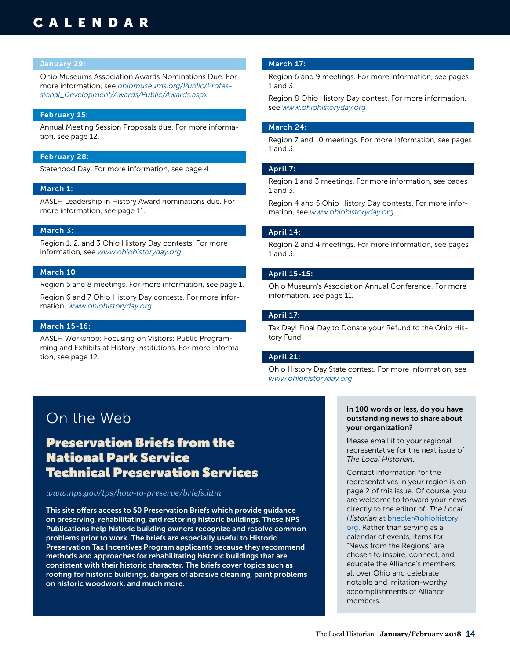# CALENDAR

## January 29:

Ohio Museums Association Awards Nominations Due. For more information, see *[ohiomuseums.org/Public/Profes](https://ohiomuseums.org/Public/Professional_Development/Awards/Public/Awards.aspx)[sional\\_Development/Awards/Public/Awards.aspx](https://ohiomuseums.org/Public/Professional_Development/Awards/Public/Awards.aspx)*

## February 15:

Annual Meeting Session Proposals due. For more information, see page 12.

## February 28:

Statehood Day. For more information, see page 4.

## March 1:

AASLH Leadership in History Award nominations due. For more information, see page 11.

## March 3:

Region 1, 2, and 3 Ohio History Day contests. For more information, see *[www.ohiohistoryday.org](http://www.ohiohistoryday.org)*.

## March 10:

Region 5 and 8 meetings. For more information, see page 1.

Region 6 and 7 Ohio History Day contests. For more information, *[www.ohiohistoryday.org](http://www.ohiohistoryday.org)*.

## March 15-16:

AASLH Workshop: Focusing on Visitors: Public Programming and Exhibits at History Institutions. For more information, see page 12.

## March 17:

Region 6 and 9 meetings. For more information, see pages 1 and 3.

Region 8 Ohio History Day contest. For more information, see *[www.ohiohistoryday.org](http://www.ohiohistoryday.org)*

## March 24:

Region 7 and 10 meetings. For more information, see pages 1 and 3.

## April 7:

Region 1 and 3 meetings. For more information, see pages 1 and 3.

Region 4 and 5 Ohio History Day contests. For more information, see *[www.ohiohistoryday.org](http://www.ohiohistoryday.org)*.

## April 14:

Region 2 and 4 meetings. For more information, see pages 1 and 3.

## April 15-15:

Ohio Museum's Association Annual Conference. For more information, see page 11.

## April 17:

Tax Day! Final Day to Donate your Refund to the Ohio History Fund!

## April 21:

Ohio History Day State contest. For more information, see *[www.ohiohistoryday.org](http://www.ohiohistoryday.org)*.

# On the Web

# Preservation Briefs from the National Park Service Technical Preservation Services

## *[www.nps.gov/tps/how-to-preserve/briefs.htm](https://www.nps.gov/tps/how-to-preserve/briefs.htm)*

This site offers access to 50 Preservation Briefs which provide guidance on preserving, rehabilitating, and restoring historic buildings. These NPS Publications help historic building owners recognize and resolve common problems prior to work. The briefs are especially useful to Historic Preservation Tax Incentives Program applicants because they recommend methods and approaches for rehabilitating historic buildings that are consistent with their historic character. The briefs cover topics such as roofing for historic buildings, dangers of abrasive cleaning, paint problems on historic woodwork, and much more.

## In 100 words or less, do you have outstanding news to share about your organization?

Please email it to your regional representative for the next issue of *The Local Historian*.

Contact information for the representatives in your region is on page 2 of this issue. Of course, you are welcome to forward your news directly to the editor of *The Local Historian* at bhedler[@ohiohistory.](mailto:arohmiller%40ohiohistory.org?subject=) [org](mailto:arohmiller%40ohiohistory.org?subject=). Rather than serving as a calendar of events, items for "News from the Regions" are chosen to inspire, connect, and educate the Alliance's members all over Ohio and celebrate notable and imitation-worthy accomplishments of Alliance members.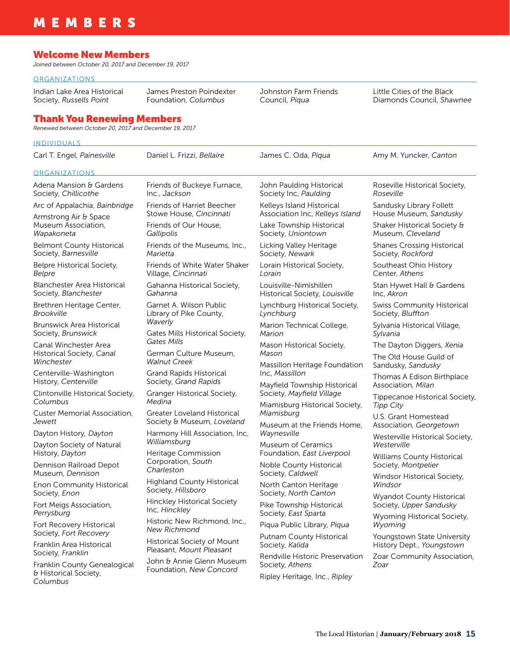# MEMBERS

## Welcome New Members

*Joined between October 20, 2017 and December 19, 2017*

## **ORGANIZATIONS**

Indian Lake Area Historical Society, *Russells Point* James Preston Poindexter Foundation, *Columbus*

Johnston Farm Friends Council, *Piqua*

Little Cities of the Black Diamonds Council, *Shawnee*

## Thank You Renewing Members

*Renewed between October 20, 2017 and December 19, 2017*

## INDIVIDUALS

| Carl T. Engel, Painesville                                              | Daniel L. Frizzi, Bellaire                                                                                           | James C. Oda, Pigua                                                                                                   | Amy M. Yuncker, Canton                                     |
|-------------------------------------------------------------------------|----------------------------------------------------------------------------------------------------------------------|-----------------------------------------------------------------------------------------------------------------------|------------------------------------------------------------|
| <b>ORGANIZATIONS</b>                                                    |                                                                                                                      |                                                                                                                       |                                                            |
| Adena Mansion & Gardens<br>Society, Chillicothe                         | Friends of Buckeye Furnace,<br>Inc., Jackson                                                                         | John Paulding Historical<br>Society Inc, Paulding                                                                     | Roseville Historical Society,<br>Roseville                 |
| Arc of Appalachia, Bainbridge<br>Armstrong Air & Space                  | <b>Friends of Harriet Beecher</b><br>Stowe House, Cincinnati                                                         | Kelleys Island Historical<br>Association Inc, Kelleys Island                                                          | Sandusky Library Follett<br>House Museum, Sandusky         |
| Museum Association,<br>Wapakoneta                                       | Friends of Our House,<br>Gallipolis                                                                                  | Lake Township Historical<br>Society, Uniontown                                                                        | Shaker Historical Society &<br>Museum, Cleveland           |
| <b>Belmont County Historical</b><br>Society, Barnesville                | Friends of the Museums, Inc.,<br>Marietta                                                                            | Licking Valley Heritage<br>Society, Newark                                                                            | <b>Shanes Crossing Historical</b><br>Society, Rockford     |
| Belpre Historical Society,<br>Belpre                                    | Friends of White Water Shaker<br>Village, Cincinnati                                                                 | Lorain Historical Society,<br>Lorain                                                                                  | Southeast Ohio History<br>Center, Athens                   |
| Blanchester Area Historical<br>Society, Blanchester                     | Gahanna Historical Society,<br>Gahanna                                                                               | Louisville-Nimishillen<br>Historical Society, Louisville                                                              | Stan Hywet Hall & Gardens<br>Inc, Akron                    |
| Brethren Heritage Center,<br>Brookville                                 | Garnet A. Wilson Public<br>Library of Pike County,                                                                   | Lynchburg Historical Society,<br>Lynchburg                                                                            | <b>Swiss Community Historical</b><br>Society, Bluffton     |
| <b>Brunswick Area Historical</b><br>Society, Brunswick                  | Waverly<br>Gates Mills Historical Society,                                                                           | Marion Technical College,<br>Marion                                                                                   | Sylvania Historical Village,<br>Sylvania                   |
| Canal Winchester Area<br>Historical Society, Canal<br>Winchester        | Gates Mills<br>German Culture Museum,<br><b>Walnut Creek</b>                                                         | Mason Historical Society,<br>Mason<br>Massillon Heritage Foundation<br>Inc. Massillon<br>Mayfield Township Historical | The Dayton Diggers, Xenia                                  |
|                                                                         |                                                                                                                      |                                                                                                                       | The Old House Guild of<br>Sandusky, Sandusky               |
| Centerville-Washington<br>History, Centerville                          | <b>Grand Rapids Historical</b><br>Society, Grand Rapids                                                              |                                                                                                                       | Thomas A Edison Birthplace<br>Association, Milan           |
| Clintonville Historical Society,<br>Columbus                            | Granger Historical Society,<br>Medina                                                                                | Society, Mayfield Village                                                                                             | Tippecanoe Historical Society,<br><b>Tipp City</b>         |
| Custer Memorial Association,<br>Jewett                                  | Greater Loveland Historical<br>Society & Museum, Loveland                                                            | Miamisburg Historical Society,<br>Miamisburg                                                                          | U.S. Grant Homestead                                       |
| Dayton History, Dayton                                                  | Harmony Hill Association, Inc,                                                                                       | Museum at the Friends Home,<br>Waynesville                                                                            | Association, Georgetown<br>Westerville Historical Society, |
| Dayton Society of Natural                                               | Williamsburg<br><b>Museum of Ceramics</b><br>Heritage Commission<br>Foundation, East Liverpool<br>Corporation, South |                                                                                                                       | Westerville                                                |
| History, Dayton                                                         |                                                                                                                      |                                                                                                                       | <b>Williams County Historical</b>                          |
| Dennison Railroad Depot<br>Museum, Dennison                             | Charleston                                                                                                           | Noble County Historical<br>Society, Caldwell                                                                          | Society, Montpelier                                        |
| <b>Enon Community Historical</b><br>Society, Enon                       | <b>Highland County Historical</b><br>Society, Hillsboro                                                              | North Canton Heritage<br>Society, North Canton                                                                        | Windsor Historical Society,<br>Windsor                     |
| Fort Meigs Association,<br>Perrysburg                                   | <b>Hinckley Historical Society</b><br>Inc, Hinckley                                                                  | Pike Township Historical<br>Society, East Sparta                                                                      | Wyandot County Historical<br>Society, Upper Sandusky       |
| Fort Recovery Historical                                                | Historic New Richmond, Inc.,<br><b>New Richmond</b>                                                                  | Piqua Public Library, Piqua                                                                                           | Wyoming Historical Society,<br>Wyoming                     |
| Society, Fort Recovery<br>Franklin Area Historical<br>Society, Franklin | Historical Society of Mount<br>Pleasant, Mount Pleasant                                                              | Putnam County Historical<br>Society, Kalida                                                                           | Youngstown State University<br>History Dept., Youngstown   |
| Franklin County Genealogical                                            | John & Annie Glenn Museum<br>Foundation, New Concord                                                                 | Rendville Historic Preservation<br>Society, Athens                                                                    | Zoar Community Association,<br>Zoar                        |
| & Historical Society,<br>Columbus                                       |                                                                                                                      | Ripley Heritage, Inc., Ripley                                                                                         |                                                            |